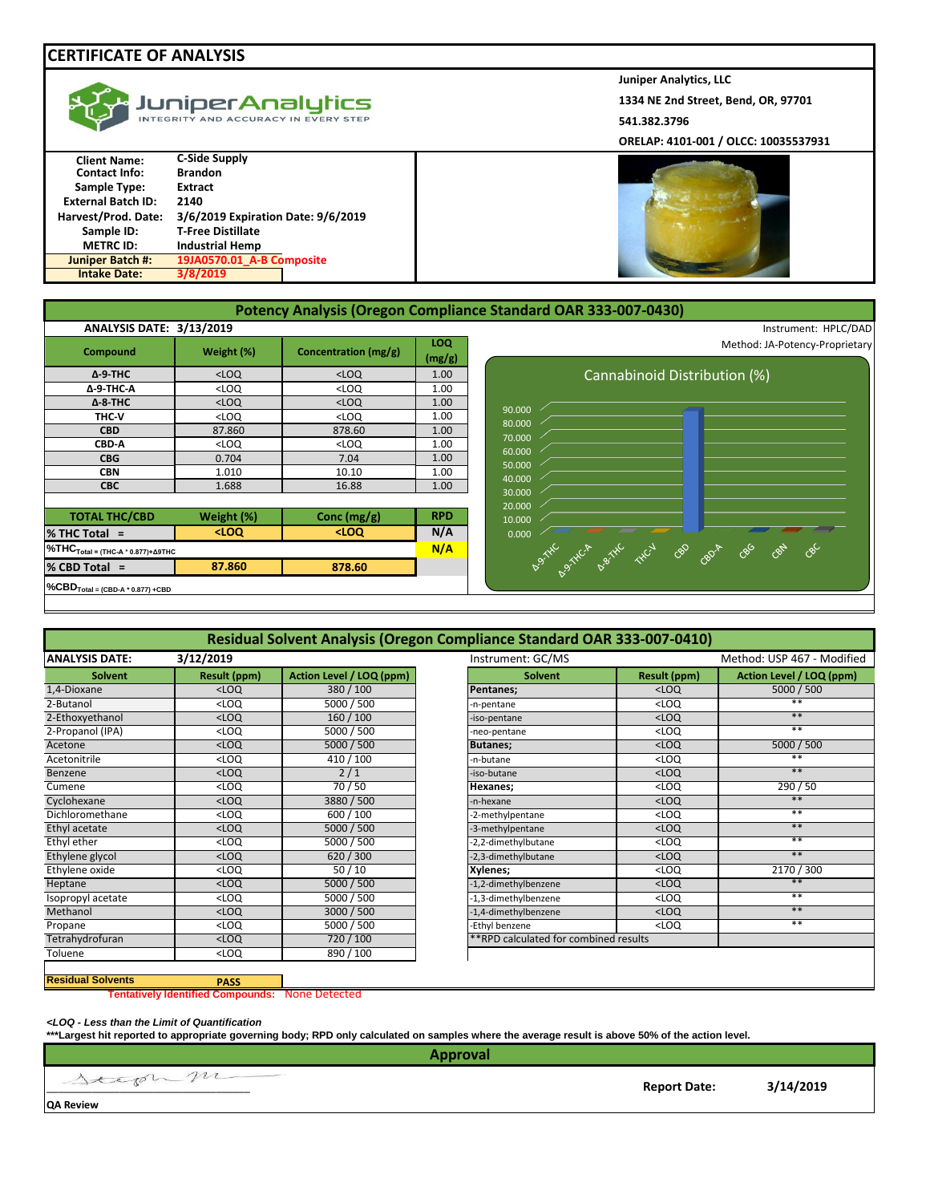## **CERTIFICATE OF ANALYSIS**

|  | w JuniperAnalytics<br>INTEGRITY AND ACCURACY IN EVERY STEP |
|--|------------------------------------------------------------|
|--|------------------------------------------------------------|

| <b>Client Name:</b>       | <b>C-Side Supply</b>               |
|---------------------------|------------------------------------|
| <b>Contact Info:</b>      | <b>Brandon</b>                     |
| <b>Sample Type:</b>       | <b>Extract</b>                     |
| <b>External Batch ID:</b> | 2140                               |
| Harvest/Prod. Date:       | 3/6/2019 Expiration Date: 9/6/2019 |
| Sample ID:                | <b>T-Free Distillate</b>           |
| <b>METRC ID:</b>          | <b>Industrial Hemp</b>             |
| <b>Juniper Batch #:</b>   | 19JA0570.01 A-B Composite          |
| <b>Intake Date:</b>       | 3/8/2019                           |

**Juniper Analytics, LLC 1334 NE 2nd Street, Bend, OR, 97701 541.382.3796**

**ORELAP: 4101-001 / OLCC: 10035537931**



| <b>ANALYSIS DATE: 3/13/2019</b>                     |                                                                              |                      |               | Instrument: HPLC/DAD                               |
|-----------------------------------------------------|------------------------------------------------------------------------------|----------------------|---------------|----------------------------------------------------|
| Compound                                            | Weight (%)                                                                   | Concentration (mg/g) | LOQ<br>(mg/g) | Method: JA-Potency-Proprietary                     |
| $\Delta$ -9-THC                                     | $<$ LOQ                                                                      | $<$ LOQ              | 1.00          | Cannabinoid Distribution (%)                       |
| $\Delta$ -9-THC-A                                   | $<$ LOQ                                                                      | $<$ LOQ              | 1.00          |                                                    |
| $\Delta$ -8-THC                                     | $<$ LOQ                                                                      | $<$ LOQ              | 1.00          | 90.000                                             |
| THC-V                                               | <loq< td=""><td><math>&lt;</math>LOQ</td><td>1.00</td><td>80.000</td></loq<> | $<$ LOQ              | 1.00          | 80.000                                             |
| <b>CBD</b>                                          | 87.860                                                                       | 878.60               | 1.00          |                                                    |
| CBD-A                                               | $<$ LOQ                                                                      | $<$ LOQ              | 1.00          | 70.000<br>60.000                                   |
| <b>CBG</b>                                          | 0.704                                                                        | 7.04                 | 1.00          | 50.000                                             |
| <b>CBN</b>                                          | 1.010                                                                        | 10.10                | 1.00          | 40.000                                             |
| <b>CBC</b>                                          | 1.688                                                                        | 16.88                | 1.00          | 30.000                                             |
|                                                     |                                                                              |                      |               | 20.000                                             |
| <b>TOTAL THC/CBD</b>                                | Weight (%)                                                                   | Conc $(mg/g)$        | <b>RPD</b>    | 10.000                                             |
| $%$ THC Total =                                     | $100$                                                                        | $<$ LOQ              | N/A           | 0.000                                              |
| $%THCTotal = (THC-A * 0.877) + Δ9THC$               |                                                                              |                      | N/A           | 86<br>087<br>680<br>Assite of the they do<br>CBDIA |
| % CBD Total =                                       | 87.860                                                                       | 878.60               |               |                                                    |
| $\%$ CBD <sub>Total</sub> = (CBD-A $*$ 0.877) + CBD |                                                                              |                      |               |                                                    |

| Residual Solvent Analysis (Oregon Compliance Standard OAR 333-007-0410) |                     |                          |                                       |                     |                            |
|-------------------------------------------------------------------------|---------------------|--------------------------|---------------------------------------|---------------------|----------------------------|
| <b>ANALYSIS DATE:</b>                                                   | 3/12/2019           |                          | Instrument: GC/MS                     |                     | Method: USP 467 - Modified |
| <b>Solvent</b>                                                          | <b>Result (ppm)</b> | Action Level / LOQ (ppm) | <b>Solvent</b>                        | <b>Result (ppm)</b> | Action Level / LOQ (ppm)   |
| 1,4-Dioxane                                                             | $<$ LOQ             | 380/100                  | Pentanes;                             | $<$ LOQ             | 5000 / 500                 |
| 2-Butanol                                                               | $<$ LOQ             | 5000 / 500               | -n-pentane                            | $<$ LOQ             | **                         |
| 2-Ethoxyethanol                                                         | $<$ LOQ             | 160/100                  | -iso-pentane                          | $<$ LOQ             | $**$                       |
| 2-Propanol (IPA)                                                        | $<$ LOQ             | 5000 / 500               | -neo-pentane                          | $<$ LOQ             | $**$                       |
| Acetone                                                                 | $<$ LOQ             | 5000 / 500               | <b>Butanes;</b>                       | $<$ LOQ             | 5000 / 500                 |
| Acetonitrile                                                            | $<$ LOQ             | 410 / 100                | -n-butane                             | $<$ LOQ             | $***$                      |
| Benzene                                                                 | $<$ LOQ             | 2/1                      | -iso-butane                           | $<$ LOQ             | $***$                      |
| Cumene                                                                  | $<$ LOQ             | 70/50                    | Hexanes;                              | $<$ LOQ             | 290 / 50                   |
| Cyclohexane                                                             | $<$ LOQ             | 3880 / 500               | -n-hexane                             | $<$ LOQ             | $***$                      |
| Dichloromethane                                                         | $<$ LOQ             | 600 / 100                | -2-methylpentane                      | $<$ LOQ             | $**$                       |
| Ethyl acetate                                                           | $<$ LOQ             | 5000 / 500               | -3-methylpentane                      | $<$ LOQ             | $**$                       |
| Ethyl ether                                                             | $<$ LOQ             | 5000 / 500               | -2,2-dimethylbutane                   | $<$ LOQ             | $**$                       |
| Ethylene glycol                                                         | $<$ LOQ             | 620/300                  | -2,3-dimethylbutane                   | $<$ LOQ             | $**$                       |
| Ethylene oxide                                                          | $<$ LOQ             | 50/10                    | Xylenes;                              | $<$ LOQ             | 2170 / 300                 |
| Heptane                                                                 | $<$ LOQ             | 5000 / 500               | -1,2-dimethylbenzene                  | $<$ LOQ             | $**$                       |
| Isopropyl acetate                                                       | $<$ LOQ             | 5000 / 500               | -1,3-dimethylbenzene                  | $<$ LOQ             | $***$                      |
| Methanol                                                                | $<$ LOQ             | 3000 / 500               | -1,4-dimethylbenzene                  | $<$ LOQ             | $**$                       |
| Propane                                                                 | $<$ LOQ             | 5000 / 500               | -Ethyl benzene                        | $<$ LOQ             | $**$                       |
| Tetrahydrofuran                                                         | $<$ LOQ             | 720 / 100                | **RPD calculated for combined results |                     |                            |
| Toluene                                                                 | $<$ LOQ             | 890 / 100                |                                       |                     |                            |

## **Residual Solvents PASS**

**Tentatively Identified Compounds:** None Detected

*<LOQ - Less than the Limit of Quantification*

**\*\*\*Largest hit reported to appropriate governing body; RPD only calculated on samples where the average result is above 50% of the action level.**

\_\_\_\_\_\_\_\_\_\_\_\_\_\_\_\_\_\_\_\_\_\_\_\_\_\_\_\_\_\_\_\_\_\_\_\_ **Report Date: 3/14/2019 QA Review Approval**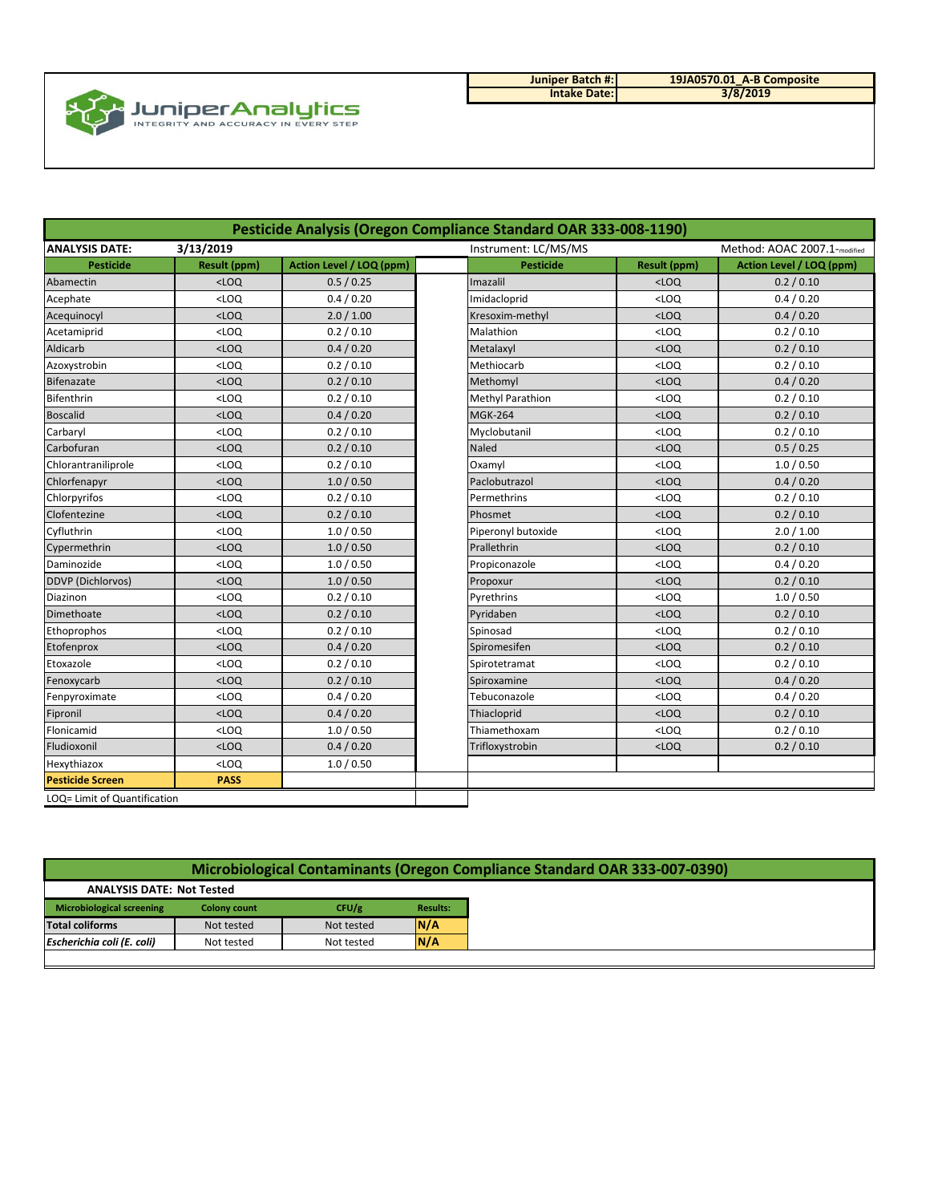

| Juniper Batch #:    | 19JA0570.01 |
|---------------------|-------------|
| <b>Intake Date:</b> | 3/8         |

**19JA0570.01\_A-B Composite 3/8/2019**

| Pesticide Analysis (Oregon Compliance Standard OAR 333-008-1190) |                     |                          |                      |                     |                              |
|------------------------------------------------------------------|---------------------|--------------------------|----------------------|---------------------|------------------------------|
| 3/13/2019<br><b>ANALYSIS DATE:</b>                               |                     |                          | Instrument: LC/MS/MS |                     | Method: AOAC 2007.1-modified |
| <b>Pesticide</b>                                                 | <b>Result (ppm)</b> | Action Level / LOQ (ppm) | <b>Pesticide</b>     | <b>Result (ppm)</b> | Action Level / LOQ (ppm)     |
| Abamectin                                                        | $<$ LOQ             | 0.5 / 0.25               | Imazalil             | $<$ LOQ             | 0.2 / 0.10                   |
| Acephate                                                         | $<$ LOQ             | 0.4 / 0.20               | Imidacloprid         | $<$ LOQ             | 0.4 / 0.20                   |
| Acequinocyl                                                      | $<$ LOQ             | 2.0 / 1.00               | Kresoxim-methyl      | $<$ LOQ             | 0.4 / 0.20                   |
| Acetamiprid                                                      | $<$ LOQ             | 0.2 / 0.10               | Malathion            | $<$ LOQ             | 0.2 / 0.10                   |
| Aldicarb                                                         | $<$ LOQ             | 0.4 / 0.20               | Metalaxyl            | $<$ LOQ             | 0.2 / 0.10                   |
| Azoxystrobin                                                     | $<$ LOQ             | 0.2 / 0.10               | Methiocarb           | $<$ LOQ             | 0.2 / 0.10                   |
| Bifenazate                                                       | $<$ LOQ             | 0.2 / 0.10               | Methomyl             | $<$ LOQ             | 0.4 / 0.20                   |
| <b>Bifenthrin</b>                                                | $<$ LOQ             | 0.2 / 0.10               | Methyl Parathion     | $<$ LOQ             | 0.2 / 0.10                   |
| <b>Boscalid</b>                                                  | $<$ LOQ             | 0.4 / 0.20               | <b>MGK-264</b>       | $<$ LOQ             | 0.2 / 0.10                   |
| Carbaryl                                                         | $<$ LOQ             | 0.2 / 0.10               | Myclobutanil         | $<$ LOQ             | 0.2 / 0.10                   |
| Carbofuran                                                       | $<$ LOQ             | 0.2 / 0.10               | Naled                | $<$ LOQ             | 0.5 / 0.25                   |
| Chlorantraniliprole                                              | $<$ LOQ             | 0.2 / 0.10               | Oxamyl               | $<$ LOQ             | 1.0 / 0.50                   |
| Chlorfenapyr                                                     | $<$ LOQ             | 1.0 / 0.50               | Paclobutrazol        | $<$ LOQ             | 0.4 / 0.20                   |
| Chlorpyrifos                                                     | $<$ LOQ             | 0.2 / 0.10               | Permethrins          | $<$ LOQ             | 0.2 / 0.10                   |
| Clofentezine                                                     | $<$ LOQ             | 0.2 / 0.10               | Phosmet              | $<$ LOQ             | 0.2 / 0.10                   |
| Cyfluthrin                                                       | $<$ LOQ             | 1.0 / 0.50               | Piperonyl butoxide   | $<$ LOQ             | 2.0 / 1.00                   |
| Cypermethrin                                                     | $<$ LOQ             | 1.0 / 0.50               | Prallethrin          | $<$ LOQ             | 0.2 / 0.10                   |
| Daminozide                                                       | $<$ LOQ             | 1.0 / 0.50               | Propiconazole        | $<$ LOQ             | 0.4 / 0.20                   |
| <b>DDVP</b> (Dichlorvos)                                         | $<$ LOQ             | 1.0 / 0.50               | Propoxur             | $<$ LOQ             | 0.2 / 0.10                   |
| Diazinon                                                         | $<$ LOQ             | 0.2 / 0.10               | Pyrethrins           | $<$ LOQ             | 1.0 / 0.50                   |
| Dimethoate                                                       | $<$ LOQ             | 0.2 / 0.10               | Pyridaben            | $<$ LOQ             | 0.2 / 0.10                   |
| Ethoprophos                                                      | $<$ LOQ             | 0.2 / 0.10               | Spinosad             | $<$ LOQ             | 0.2 / 0.10                   |
| Etofenprox                                                       | $<$ LOQ             | 0.4 / 0.20               | Spiromesifen         | $<$ LOQ             | 0.2 / 0.10                   |
| Etoxazole                                                        | $<$ LOQ             | 0.2 / 0.10               | Spirotetramat        | $<$ LOQ             | 0.2 / 0.10                   |
| Fenoxycarb                                                       | $<$ LOQ             | 0.2 / 0.10               | Spiroxamine          | $<$ LOQ             | 0.4 / 0.20                   |
| Fenpyroximate                                                    | $<$ LOQ             | 0.4 / 0.20               | Tebuconazole         | $<$ LOQ             | 0.4 / 0.20                   |
| Fipronil                                                         | $<$ LOQ             | 0.4 / 0.20               | Thiacloprid          | $<$ LOQ             | 0.2 / 0.10                   |
| Flonicamid                                                       | $<$ LOQ             | 1.0 / 0.50               | Thiamethoxam         | $<$ LOQ             | 0.2 / 0.10                   |
| Fludioxonil                                                      | $<$ LOQ             | 0.4 / 0.20               | Trifloxystrobin      | $<$ LOQ             | 0.2 / 0.10                   |
| Hexythiazox                                                      | $<$ LOQ             | 1.0 / 0.50               |                      |                     |                              |
| <b>Pesticide Screen</b>                                          | <b>PASS</b>         |                          |                      |                     |                              |
| LOQ= Limit of Quantification                                     |                     |                          |                      |                     |                              |

| Microbiological Contaminants (Oregon Compliance Standard OAR 333-007-0390) |                     |            |                 |
|----------------------------------------------------------------------------|---------------------|------------|-----------------|
| <b>ANALYSIS DATE: Not Tested</b>                                           |                     |            |                 |
| <b>Microbiological screening</b>                                           | <b>Colony count</b> | CFU/g      | <b>Results:</b> |
| <b>Total coliforms</b>                                                     | Not tested          | Not tested | N/A             |
| Escherichia coli (E. coli)                                                 | Not tested          | Not tested | N/A             |
|                                                                            |                     |            |                 |